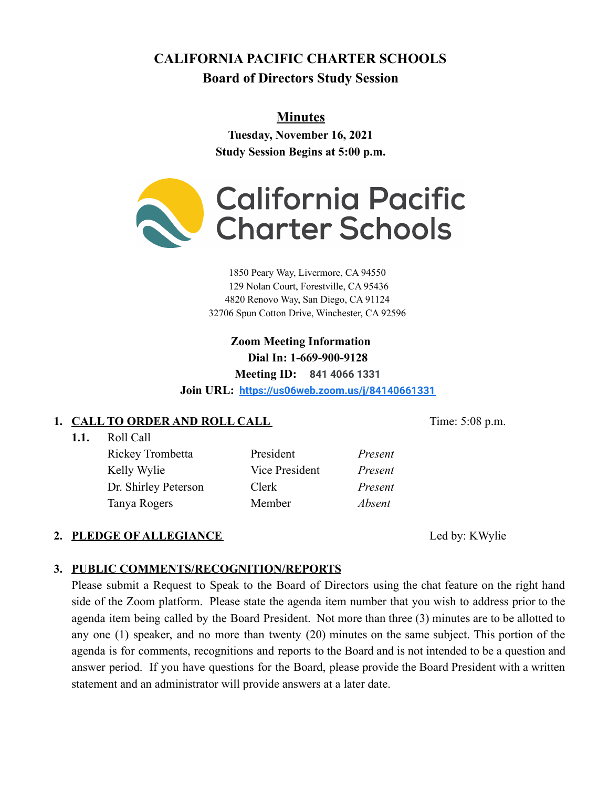# **CALIFORNIA PACIFIC CHARTER SCHOOLS Board of Directors Study Session**

# **Minutes**

**Tuesday, November 16, 2021 Study Session Begins at 5:00 p.m.**



 Peary Way, Livermore, CA 94550 Nolan Court, Forestville, CA 95436 Renovo Way, San Diego, CA 91124 Spun Cotton Drive, Winchester, CA 92596

> **Zoom Meeting Information Dial In: 1-669-900-9128 Meeting ID: 841 4066 1331**

**Join URL: <https://us06web.zoom.us/j/84140661331>**

# **1. CALL TO ORDER AND ROLL CALL** Time: 5:08 p.m.

**1.1.** Roll Call

Rickey Trombetta President *Present* Kelly Wylie Vice President *Present* Dr. Shirley Peterson Clerk *Present* Tanya Rogers Member *Absent*

# 2. **PLEDGE OF ALLEGIANCE** Led by: KWylie

# **3. PUBLIC COMMENTS/RECOGNITION/REPORTS**

Please submit a Request to Speak to the Board of Directors using the chat feature on the right hand side of the Zoom platform. Please state the agenda item number that you wish to address prior to the agenda item being called by the Board President. Not more than three (3) minutes are to be allotted to any one (1) speaker, and no more than twenty (20) minutes on the same subject. This portion of the agenda is for comments, recognitions and reports to the Board and is not intended to be a question and answer period. If you have questions for the Board, please provide the Board President with a written statement and an administrator will provide answers at a later date.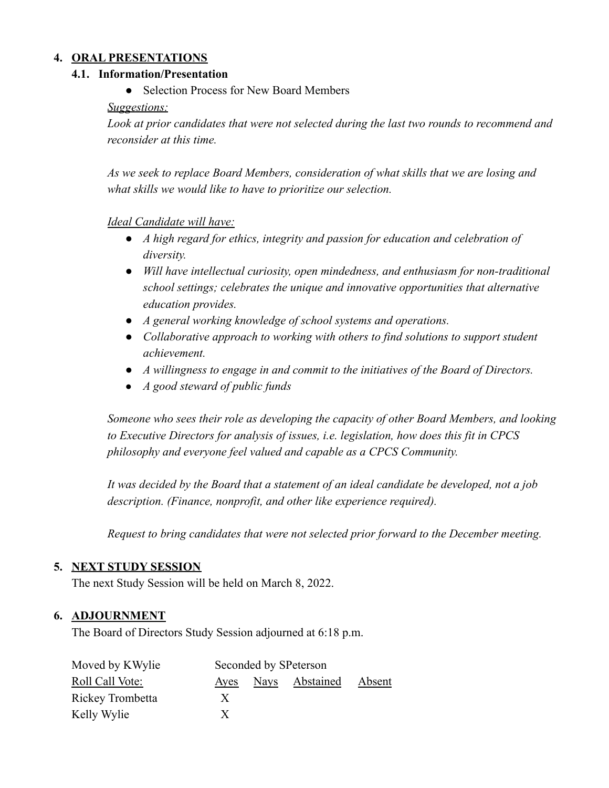### **4. ORAL PRESENTATIONS**

#### **4.1. Information/Presentation**

• Selection Process for New Board Members

#### *Suggestions:*

*Look at prior candidates that were not selected during the last two rounds to recommend and reconsider at this time.*

*As we seek to replace Board Members, consideration of what skills that we are losing and what skills we would like to have to prioritize our selection.*

### *Ideal Candidate will have:*

- *● A high regard for ethics, integrity and passion for education and celebration of diversity.*
- *● Will have intellectual curiosity, open mindedness, and enthusiasm for non-traditional school settings; celebrates the unique and innovative opportunities that alternative education provides.*
- *● A general working knowledge of school systems and operations.*
- *● Collaborative approach to working with others to find solutions to support student achievement.*
- *● A willingness to engage in and commit to the initiatives of the Board of Directors.*
- *● A good steward of public funds*

*Someone who sees their role as developing the capacity of other Board Members, and looking to Executive Directors for analysis of issues, i.e. legislation, how does this fit in CPCS philosophy and everyone feel valued and capable as a CPCS Community.*

*It was decided by the Board that a statement of an ideal candidate be developed, not a job description. (Finance, nonprofit, and other like experience required).*

*Request to bring candidates that were not selected prior forward to the December meeting.*

### **5. NEXT STUDY SESSION**

The next Study Session will be held on March 8, 2022.

#### **6. ADJOURNMENT**

The Board of Directors Study Session adjourned at 6:18 p.m.

| Moved by KWylie  | Seconded by SPeterson |  |                |        |
|------------------|-----------------------|--|----------------|--------|
| Roll Call Vote:  | Ayes                  |  | Nays Abstained | Absent |
| Rickey Trombetta | X                     |  |                |        |
| Kelly Wylie      | X                     |  |                |        |